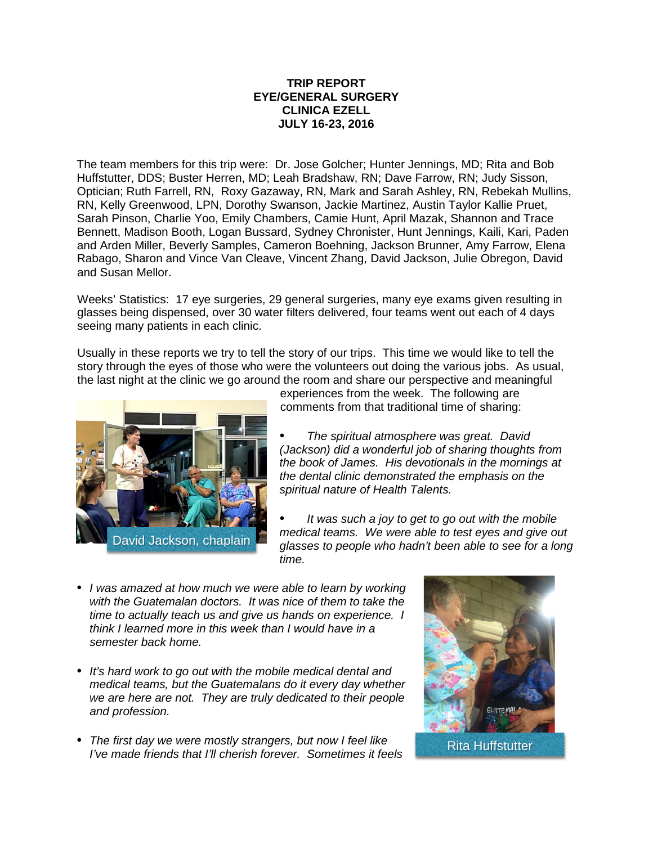## **TRIP REPORT EYE/GENERAL SURGERY CLINICA EZELL JULY 16-23, 2016**

The team members for this trip were: Dr. Jose Golcher; Hunter Jennings, MD; Rita and Bob Huffstutter, DDS; Buster Herren, MD; Leah Bradshaw, RN; Dave Farrow, RN; Judy Sisson, Optician; Ruth Farrell, RN, Roxy Gazaway, RN, Mark and Sarah Ashley, RN, Rebekah Mullins, RN, Kelly Greenwood, LPN, Dorothy Swanson, Jackie Martinez, Austin Taylor Kallie Pruet, Sarah Pinson, Charlie Yoo, Emily Chambers, Camie Hunt, April Mazak, Shannon and Trace Bennett, Madison Booth, Logan Bussard, Sydney Chronister, Hunt Jennings, Kaili, Kari, Paden and Arden Miller, Beverly Samples, Cameron Boehning, Jackson Brunner, Amy Farrow, Elena Rabago, Sharon and Vince Van Cleave, Vincent Zhang, David Jackson, Julie Obregon, David and Susan Mellor.

Weeks' Statistics: 17 eye surgeries, 29 general surgeries, many eye exams given resulting in glasses being dispensed, over 30 water filters delivered, four teams went out each of 4 days seeing many patients in each clinic.

Usually in these reports we try to tell the story of our trips. This time we would like to tell the story through the eyes of those who were the volunteers out doing the various jobs. As usual, the last night at the clinic we go around the room and share our perspective and meaningful



experiences from the week. The following are comments from that traditional time of sharing:

*• The spiritual atmosphere was great. David (Jackson) did a wonderful job of sharing thoughts from the book of James. His devotionals in the mornings at the dental clinic demonstrated the emphasis on the spiritual nature of Health Talents.*

*• It was such a joy to get to go out with the mobile medical teams. We were able to test eyes and give out glasses to people who hadn't been able to see for a long time.*

- *• I was amazed at how much we were able to learn by working with the Guatemalan doctors. It was nice of them to take the time to actually teach us and give us hands on experience. I think I learned more in this week than I would have in a semester back home.*
- *• It's hard work to go out with the mobile medical dental and medical teams, but the Guatemalans do it every day whether we are here are not. They are truly dedicated to their people and profession.*
- *• The first day we were mostly strangers, but now I feel like I'lle II'st day we were mostly strangers, but now I leel like*<br>*I've made friends that I'll cherish forever. Sometimes it feels* Rita Huffstutter

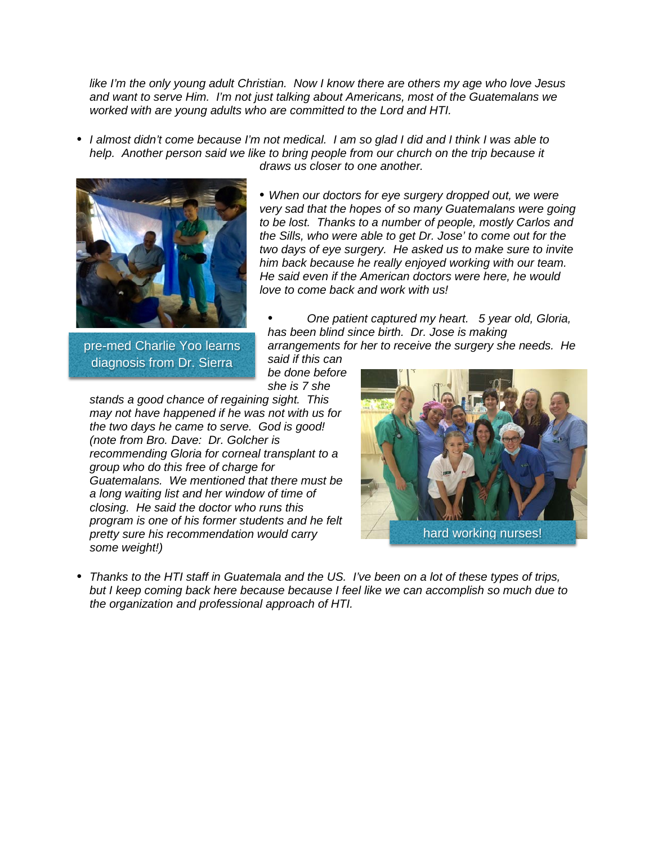*like I'm the only young adult Christian. Now I know there are others my age who love Jesus and want to serve Him. I'm not just talking about Americans, most of the Guatemalans we worked with are young adults who are committed to the Lord and HTI.*

• I almost didn't come because I'm not medical. I am so glad I did and I think I was able to *help. Another person said we like to bring people from our church on the trip because it draws us closer to one another.*



pre-med Charlie Yoo learns diagnosis from Dr. Sierra

*• When our doctors for eye surgery dropped out, we were very sad that the hopes of so many Guatemalans were going to be lost. Thanks to a number of people, mostly Carlos and the Sills, who were able to get Dr. Jose' to come out for the two days of eye surgery. He asked us to make sure to invite him back because he really enjoyed working with our team. He said even if the American doctors were here, he would love to come back and work with us!*

*• One patient captured my heart. 5 year old, Gloria, has been blind since birth. Dr. Jose is making arrangements for her to receive the surgery she needs. He*

*said if this can be done before she is 7 she*

*stands a good chance of regaining sight. This may not have happened if he was not with us for the two days he came to serve. God is good! (note from Bro. Dave: Dr. Golcher is recommending Gloria for corneal transplant to a group who do this free of charge for Guatemalans. We mentioned that there must be a long waiting list and her window of time of closing. He said the doctor who runs this program is one of his former students and he felt pretty sure his recommendation would carry some weight!)*



• Thanks to the HTI staff in Guatemala and the US. I've been on a lot of these types of trips, *but I keep coming back here because because I feel like we can accomplish so much due to the organization and professional approach of HTI.*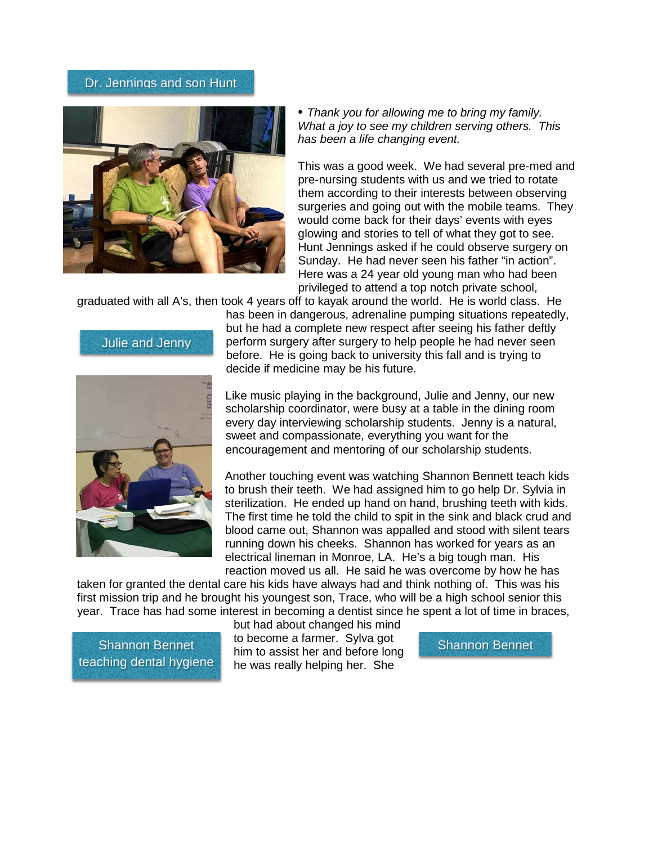## Dr. Jennings and son Hunt



*• Thank you for allowing me to bring my family. What a joy to see my children serving others. This has been a life changing event.*

This was a good week. We had several pre-med and pre-nursing students with us and we tried to rotate them according to their interests between observing surgeries and going out with the mobile teams. They would come back for their days' events with eyes glowing and stories to tell of what they got to see. Hunt Jennings asked if he could observe surgery on Sunday. He had never seen his father "in action". Here was a 24 year old young man who had been privileged to attend a top notch private school,

graduated with all A's, then took 4 years off to kayak around the world. He is world class. He

Julie and Jenny



has been in dangerous, adrenaline pumping situations repeatedly, but he had a complete new respect after seeing his father deftly perform surgery after surgery to help people he had never seen before. He is going back to university this fall and is trying to decide if medicine may be his future.

Like music playing in the background, Julie and Jenny, our new scholarship coordinator, were busy at a table in the dining room every day interviewing scholarship students. Jenny is a natural, sweet and compassionate, everything you want for the encouragement and mentoring of our scholarship students.

Another touching event was watching Shannon Bennett teach kids to brush their teeth. We had assigned him to go help Dr. Sylvia in sterilization. He ended up hand on hand, brushing teeth with kids. The first time he told the child to spit in the sink and black crud and blood came out, Shannon was appalled and stood with silent tears running down his cheeks. Shannon has worked for years as an electrical lineman in Monroe, LA. He's a big tough man. His reaction moved us all. He said he was overcome by how he has

taken for granted the dental care his kids have always had and think nothing of. This was his first mission trip and he brought his youngest son, Trace, who will be a high school senior this year. Trace has had some interest in becoming a dentist since he spent a lot of time in braces,

teaching dental hygiene

but had about changed his mind to become a farmer. Sylva got Shannon Bennet New Besonic a lampic. By a got Shannon Bennet he was really helping her. She